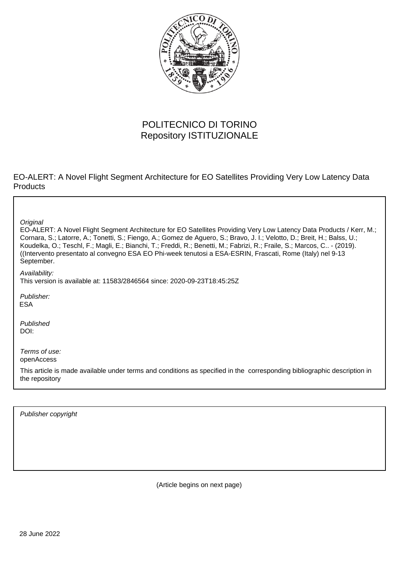

## POLITECNICO DI TORINO Repository ISTITUZIONALE

EO-ALERT: A Novel Flight Segment Architecture for EO Satellites Providing Very Low Latency Data **Products** 

**Original** 

EO-ALERT: A Novel Flight Segment Architecture for EO Satellites Providing Very Low Latency Data Products / Kerr, M.; Cornara, S.; Latorre, A.; Tonetti, S.; Fiengo, A.; Gomez de Aguero, S.; Bravo, J. I.; Velotto, D.; Breit, H.; Balss, U.; Koudelka, O.; Teschl, F.; Magli, E.; Bianchi, T.; Freddi, R.; Benetti, M.; Fabrizi, R.; Fraile, S.; Marcos, C.. - (2019). ((Intervento presentato al convegno ESA EO Phi-week tenutosi a ESA-ESRIN, Frascati, Rome (Italy) nel 9-13 September.

Availability:

This version is available at: 11583/2846564 since: 2020-09-23T18:45:25Z

Publisher: ESA

Published DOI:

Terms of use: openAccess

This article is made available under terms and conditions as specified in the corresponding bibliographic description in the repository

Publisher copyright

(Article begins on next page)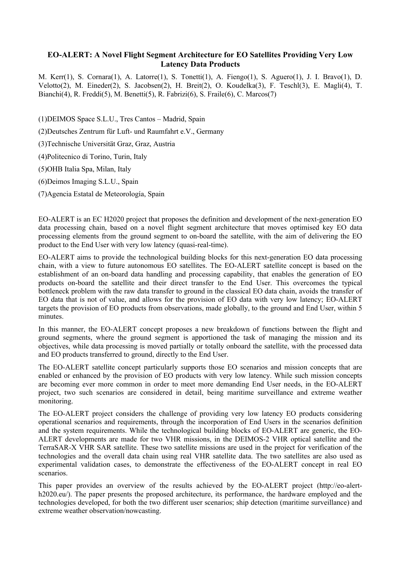## **EO-ALERT: A Novel Flight Segment Architecture for EO Satellites Providing Very Low Latency Data Products**

M. Kerr(1), S. Cornara(1), A. Latorre(1), S. Tonetti(1), A. Fiengo(1), S. Aguero(1), J. I. Bravo(1), D. Velotto(2), M. Eineder(2), S. Jacobsen(2), H. Breit(2), O. Koudelka(3), F. Teschl(3), E. Magli(4), T. Bianchi(4), R. Freddi(5), M. Benetti(5), R. Fabrizi(6), S. Fraile(6), C. Marcos(7)

(1)DEIMOS Space S.L.U., Tres Cantos – Madrid, Spain

(2)Deutsches Zentrum für Luft- und Raumfahrt e.V., Germany

(3)Technische Universität Graz, Graz, Austria

(4)Politecnico di Torino, Turin, Italy

(5)OHB Italia Spa, Milan, Italy

(6)Deimos Imaging S.L.U., Spain

(7)Agencia Estatal de Meteorología, Spain

EO-ALERT is an EC H2020 project that proposes the definition and development of the next-generation EO data processing chain, based on a novel flight segment architecture that moves optimised key EO data processing elements from the ground segment to on-board the satellite, with the aim of delivering the EO product to the End User with very low latency (quasi-real-time).

EO-ALERT aims to provide the technological building blocks for this next-generation EO data processing chain, with a view to future autonomous EO satellites. The EO-ALERT satellite concept is based on the establishment of an on-board data handling and processing capability, that enables the generation of EO products on-board the satellite and their direct transfer to the End User. This overcomes the typical bottleneck problem with the raw data transfer to ground in the classical EO data chain, avoids the transfer of EO data that is not of value, and allows for the provision of EO data with very low latency; EO-ALERT targets the provision of EO products from observations, made globally, to the ground and End User, within 5 minutes.

In this manner, the EO-ALERT concept proposes a new breakdown of functions between the flight and ground segments, where the ground segment is apportioned the task of managing the mission and its objectives, while data processing is moved partially or totally onboard the satellite, with the processed data and EO products transferred to ground, directly to the End User.

The EO-ALERT satellite concept particularly supports those EO scenarios and mission concepts that are enabled or enhanced by the provision of EO products with very low latency. While such mission concepts are becoming ever more common in order to meet more demanding End User needs, in the EO-ALERT project, two such scenarios are considered in detail, being maritime surveillance and extreme weather monitoring.

The EO-ALERT project considers the challenge of providing very low latency EO products considering operational scenarios and requirements, through the incorporation of End Users in the scenarios definition and the system requirements. While the technological building blocks of EO-ALERT are generic, the EO-ALERT developments are made for two VHR missions, in the DEIMOS-2 VHR optical satellite and the TerraSAR-X VHR SAR satellite. These two satellite missions are used in the project for verification of the technologies and the overall data chain using real VHR satellite data. The two satellites are also used as experimental validation cases, to demonstrate the effectiveness of the EO-ALERT concept in real EO scenarios.

This paper provides an overview of the results achieved by the EO-ALERT project (http://eo-alerth2020.eu/). The paper presents the proposed architecture, its performance, the hardware employed and the technologies developed, for both the two different user scenarios; ship detection (maritime surveillance) and extreme weather observation/nowcasting.